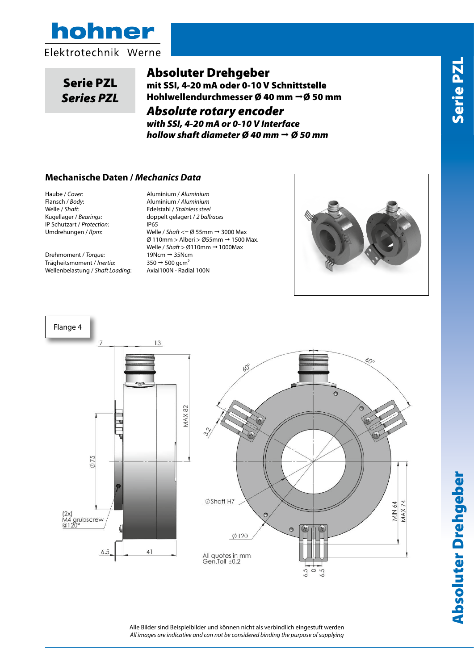



## Serie PZ<br>Series PZ Serie PZL *Series PZL*

# *SSI absolute and Analog hollow shaft encoder* Absoluter Drehgeber

*Ø40mm ø50mm* mit SSI, 4-20 mA oder 0-10 V Schnittstelle Hohlwellendurchmesser Ø 40 mm  $\rightarrow$  Ø 50 mm

*Absolute rotary encoder* 

*with SSI, 4-20 mA or 0-10 V Interface hollow shaft diameter Ø 40 mm Ø 50 mm*

#### **Flangia /** *Body* **:** Alluminio / *Aluminium* **Mechanische Daten /** *Mechanics Data*

**Haube / Cover:**<br>**Flansch /** *Body***: Welle** / *Shaft***:** Kugellager / Bearings: IP Schutzart / *Protection*: **IP65** 

Drehmoment / *Torque*: 19Ncm 35Ncm Trägheitsmoment / *Inertia*: 350 → 500 gcm<sup>2</sup><br>Wellenbelastung / *Shaft Loading*: Axial100N - Radial 100N Wellenbelastung / Shaft Loading:

Momento increase *in a memis in a memis velle / shaft* <= Ø 55mm → 3000 Max.<br>Ø 110mm > Alberi > Ø55mm → 1500 Max. **Carico sull'albero /** *Shaft Loading***:** Axi 100N - Rad 100N Welle / *Shaft* > Ø110mm  1000Max Haube / *Cover*: Aluminium / *Aluminium* Flansch / *Body*: Aluminium / *Aluminium* Welle / *Shaft*: Edelstahl / *Stainless steel* Kugellager / *Bearings*: doppelt gelagert / *2 ballraces* Umdrehungen / *Rpm*: Welle / *Shaft* <= Ø 55mm 3000 Max





Absoluter Drehgeber Serie PZL **Absoluter Drehgeber** 

Alle Bilder sind Beispielbilder und können nicht als verbindlich eingestuft werden *All images are indicative and can not be considered binding the purpose of supplying*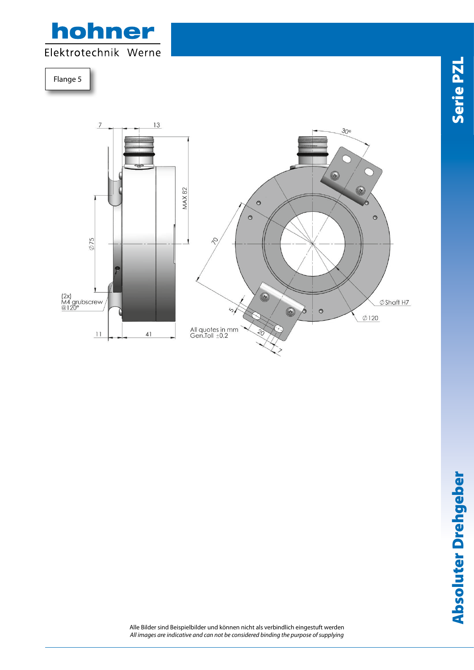

Flange 5  $\frac{1}{2}$ 



Alle Bilder sind Beispielbilder und können nicht als verbindlich eingestuft werden *All images are indicative and can not be considered binding the purpose of supplying*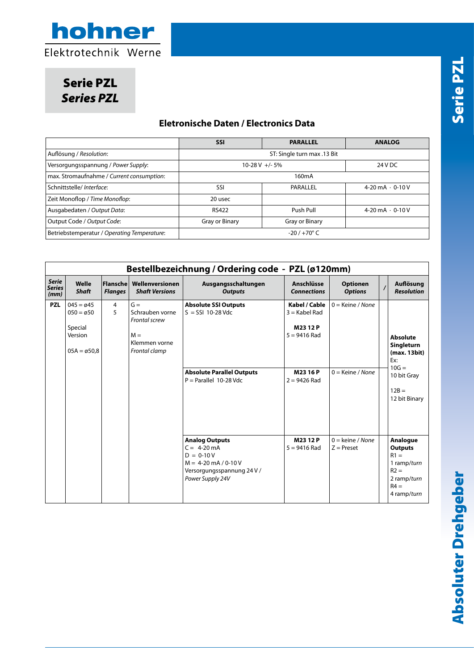

Serie PZL *Series PZL*

#### **Eletronische Daten / Electronics Data**

|                                             | <b>SSI</b>                  | <b>PARALLEL</b>    | <b>ANALOG</b>           |  |  |  |  |
|---------------------------------------------|-----------------------------|--------------------|-------------------------|--|--|--|--|
| Auflösung / Resolution:                     | ST: Single turn max .13 Bit |                    |                         |  |  |  |  |
| Versorgungsspannung / Power Supply:         | $10-28$ V +/-5%             | 24 V DC            |                         |  |  |  |  |
| max. Stromaufnahme / Current consumption:   |                             | 160 <sub>m</sub> A |                         |  |  |  |  |
| Schnittstelle/ Interface:                   | SSI                         | PARALLEL           |                         |  |  |  |  |
| Zeit Monoflop / Time Monoflop:              | 20 usec                     |                    |                         |  |  |  |  |
| Ausgabedaten / Output Data:                 | Push Pull<br><b>RS422</b>   |                    | 4-20 $mA \cdot 0$ -10 V |  |  |  |  |
| Output Code / Output Code:                  | Gray or Binary              | Gray or Binary     |                         |  |  |  |  |
| Betriebstemperatur / Operating Temperature: | $-20/+70^{\circ}$ C         |                    |                         |  |  |  |  |

|                                       |                                                                                              |                                   |                                                                                      | Bestellbezeichnung / Ordering code - PZL (ø120mm)                                                                                 |                                                                                          |                                          |                |                                                                                                            |
|---------------------------------------|----------------------------------------------------------------------------------------------|-----------------------------------|--------------------------------------------------------------------------------------|-----------------------------------------------------------------------------------------------------------------------------------|------------------------------------------------------------------------------------------|------------------------------------------|----------------|------------------------------------------------------------------------------------------------------------|
| <b>Serie</b><br><b>Series</b><br>(mm) | Welle<br><b>Shaft</b>                                                                        | <b>Flansche</b><br><b>Flanges</b> | Wellenversionen<br><b>Shaft Versions</b>                                             | Ausgangsschaltungen<br>Anschlüsse<br><b>Outputs</b><br><b>Connections</b>                                                         |                                                                                          | <b>Optionen</b><br><b>Options</b>        | $\overline{1}$ | Auflösung<br><b>Resolution</b>                                                                             |
| <b>PZL</b>                            | $045 = \emptyset 45$<br>$050 = \emptyset 50$<br>Special<br>Version<br>$05A = \emptyset 50.8$ | $\overline{4}$<br>5               | $G =$<br>Schrauben vorne<br>Frontal screw<br>$M =$<br>Klemmen vorne<br>Frontal clamp | <b>Absolute SSI Outputs</b><br>$S = SSI$ 10-28 Vdc<br><b>Absolute Parallel Outputs</b><br>$P = Parallel$ 10-28 Vdc                | Kabel / Cable<br>$3 =$ Kabel Rad<br>M2312P<br>$5 = 9416$ Rad<br>M2316P<br>$2 = 9426$ Rad | $0 =$ Keine / None<br>$0 =$ Keine / None |                | <b>Absolute</b><br>Singleturn<br>(max. 13bit)<br>Ex:<br>$10G =$<br>10 bit Gray<br>$12B =$<br>12 bit Binary |
|                                       |                                                                                              |                                   |                                                                                      | <b>Analog Outputs</b><br>$C = 4-20$ mA<br>$D = 0-10V$<br>$M = 4-20$ mA / 0-10 V<br>Versorgungsspannung 24 V /<br>Power Supply 24V | M2312P<br>$5 = 9416$ Rad                                                                 | $0 =$ keine / None<br>$Z =$ Preset       |                | Analogue<br><b>Outputs</b><br>$R1 =$<br>1 ramp/turn<br>$R2 =$<br>2 ramp/turn<br>$R4 =$<br>4 ramp/turn      |